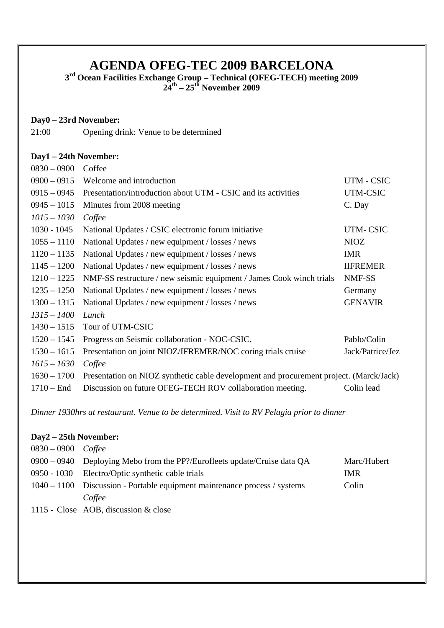# **AGENDA OFEG-TEC 2009 BARCELONA**

**3rd Ocean Facilities Exchange Group – Technical (OFEG-TECH) meeting 2009 24th – 25th November 2009** 

#### **Day0 – 23rd November:**

21:00 Opening drink: Venue to be determined

#### **Day1 – 24th November:**

| $0830 - 0900$ | Coffee                                                                                 |                  |
|---------------|----------------------------------------------------------------------------------------|------------------|
| $0900 - 0915$ | Welcome and introduction                                                               | UTM - CSIC       |
| $0915 - 0945$ | Presentation/introduction about UTM - CSIC and its activities                          | UTM-CSIC         |
| $0945 - 1015$ | Minutes from 2008 meeting                                                              | C. Day           |
| $1015 - 1030$ | Coffee                                                                                 |                  |
| $1030 - 1045$ | National Updates / CSIC electronic forum initiative                                    | UTM-CSIC         |
| $1055 - 1110$ | National Updates / new equipment / losses / news                                       | <b>NIOZ</b>      |
| $1120 - 1135$ | National Updates / new equipment / losses / news                                       | <b>IMR</b>       |
| $1145 - 1200$ | National Updates / new equipment / losses / news                                       | <b>IIFREMER</b>  |
| $1210 - 1225$ | NMF-SS restructure / new seismic equipment / James Cook winch trials                   | NMF-SS           |
| $1235 - 1250$ | National Updates / new equipment / losses / news                                       | Germany          |
| $1300 - 1315$ | National Updates / new equipment / losses / news                                       | <b>GENAVIR</b>   |
| $1315 - 1400$ | Lunch                                                                                  |                  |
| $1430 - 1515$ | Tour of UTM-CSIC                                                                       |                  |
| $1520 - 1545$ | Progress on Seismic collaboration - NOC-CSIC.                                          | Pablo/Colin      |
| $1530 - 1615$ | Presentation on joint NIOZ/IFREMER/NOC coring trials cruise                            | Jack/Patrice/Jez |
| $1615 - 1630$ | Coffee                                                                                 |                  |
| $1630 - 1700$ | Presentation on NIOZ synthetic cable development and procurement project. (Marck/Jack) |                  |
| $1710 -$ End  | Discussion on future OFEG-TECH ROV collaboration meeting.                              | Colin lead       |

*Dinner 1930hrs at restaurant. Venue to be determined. Visit to RV Pelagia prior to dinner* 

## **Day2 – 25th November:**

| $0830 - 0900$ Coffee |                                                                            |             |
|----------------------|----------------------------------------------------------------------------|-------------|
|                      | $0900 - 0940$ Deploying Mebo from the PP?/Eurofleets update/Cruise data QA | Marc/Hubert |
|                      | 0950 - 1030 Electro/Optic synthetic cable trials                           | IMR.        |
|                      | 1040 – 1100 Discussion - Portable equipment maintenance process / systems  | Colin       |
|                      | Coffee                                                                     |             |

1115 - Close AOB, discussion & close